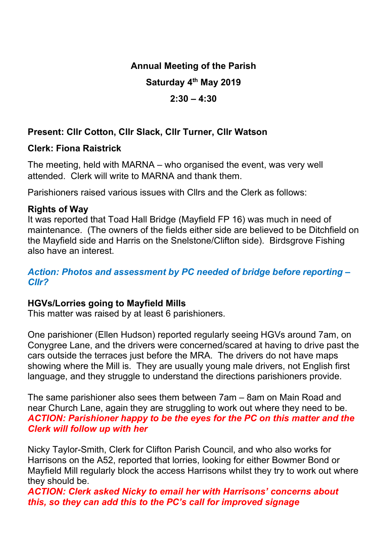# Annual Meeting of the Parish

## Saturday 4<sup>th</sup> May 2019

## $2:30 - 4:30$

# Present: Cllr Cotton, Cllr Slack, Cllr Turner, Cllr Watson

## Clerk: Fiona Raistrick

The meeting, held with MARNA – who organised the event, was very well attended. Clerk will write to MARNA and thank them.

Parishioners raised various issues with Cllrs and the Clerk as follows:

### Rights of Way

It was reported that Toad Hall Bridge (Mayfield FP 16) was much in need of maintenance. (The owners of the fields either side are believed to be Ditchfield on the Mayfield side and Harris on the Snelstone/Clifton side). Birdsgrove Fishing also have an interest.

#### Action: Photos and assessment by PC needed of bridge before reporting – Cllr?

# HGVs/Lorries going to Mayfield Mills

This matter was raised by at least 6 parishioners.

One parishioner (Ellen Hudson) reported regularly seeing HGVs around 7am, on Conygree Lane, and the drivers were concerned/scared at having to drive past the cars outside the terraces just before the MRA. The drivers do not have maps showing where the Mill is. They are usually young male drivers, not English first language, and they struggle to understand the directions parishioners provide.

The same parishioner also sees them between 7am – 8am on Main Road and near Church Lane, again they are struggling to work out where they need to be. ACTION: Parishioner happy to be the eyes for the PC on this matter and the Clerk will follow up with her

Nicky Taylor-Smith, Clerk for Clifton Parish Council, and who also works for Harrisons on the A52, reported that lorries, looking for either Bowmer Bond or Mayfield Mill regularly block the access Harrisons whilst they try to work out where they should be.

ACTION: Clerk asked Nicky to email her with Harrisons' concerns about this, so they can add this to the PC's call for improved signage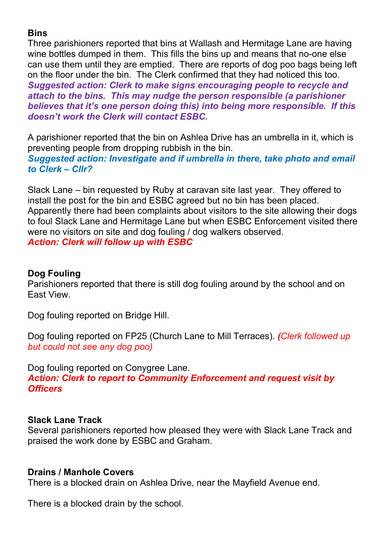# **Bins**

Three parishioners reported that bins at Wallash and Hermitage Lane are having wine bottles dumped in them. This fills the bins up and means that no-one else can use them until they are emptied. There are reports of dog poo bags being left on the floor under the bin. The Clerk confirmed that they had noticed this too. Suggested action: Clerk to make signs encouraging people to recycle and attach to the bins. This may nudge the person responsible (a parishioner believes that it's one person doing this) into being more responsible. If this doesn't work the Clerk will contact ESBC.

A parishioner reported that the bin on Ashlea Drive has an umbrella in it, which is preventing people from dropping rubbish in the bin. Suggested action: Investigate and if umbrella in there, take photo and email to Clerk – Cllr?

Slack Lane – bin requested by Ruby at caravan site last year. They offered to install the post for the bin and ESBC agreed but no bin has been placed. Apparently there had been complaints about visitors to the site allowing their dogs to foul Slack Lane and Hermitage Lane but when ESBC Enforcement visited there were no visitors on site and dog fouling / dog walkers observed. Action: Clerk will follow up with ESBC

## Dog Fouling

Parishioners reported that there is still dog fouling around by the school and on East View.

Dog fouling reported on Bridge Hill.

Dog fouling reported on FP25 (Church Lane to Mill Terraces). (Clerk followed up but could not see any dog poo)

Dog fouling reported on Conygree Lane.

Action: Clerk to report to Community Enforcement and request visit by **Officers** 

### Slack Lane Track

Several parishioners reported how pleased they were with Slack Lane Track and praised the work done by ESBC and Graham.

### Drains / Manhole Covers

There is a blocked drain on Ashlea Drive, near the Mayfield Avenue end.

There is a blocked drain by the school.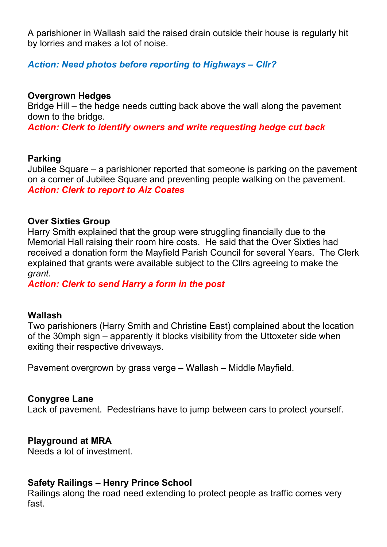A parishioner in Wallash said the raised drain outside their house is regularly hit by lorries and makes a lot of noise.

Action: Need photos before reporting to Highways – Cllr?

### Overgrown Hedges

Bridge Hill – the hedge needs cutting back above the wall along the pavement down to the bridge.

Action: Clerk to identify owners and write requesting hedge cut back

#### Parking

Jubilee Square – a parishioner reported that someone is parking on the pavement on a corner of Jubilee Square and preventing people walking on the pavement. Action: Clerk to report to Alz Coates

#### Over Sixties Group

Harry Smith explained that the group were struggling financially due to the Memorial Hall raising their room hire costs. He said that the Over Sixties had received a donation form the Mayfield Parish Council for several Years. The Clerk explained that grants were available subject to the Cllrs agreeing to make the grant.

Action: Clerk to send Harry a form in the post

#### Wallash

Two parishioners (Harry Smith and Christine East) complained about the location of the 30mph sign – apparently it blocks visibility from the Uttoxeter side when exiting their respective driveways.

Pavement overgrown by grass verge – Wallash – Middle Mayfield.

### Conygree Lane

Lack of pavement. Pedestrians have to jump between cars to protect yourself.

### Playground at MRA

Needs a lot of investment.

#### Safety Railings – Henry Prince School

Railings along the road need extending to protect people as traffic comes very fast.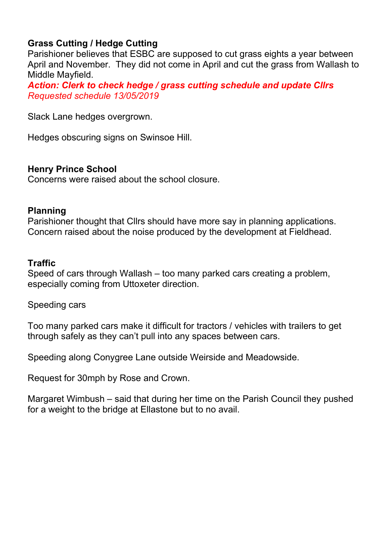# Grass Cutting / Hedge Cutting

Parishioner believes that ESBC are supposed to cut grass eights a year between April and November. They did not come in April and cut the grass from Wallash to Middle Mayfield.

Action: Clerk to check hedge / grass cutting schedule and update Cllrs Requested schedule 13/05/2019

Slack Lane hedges overgrown.

Hedges obscuring signs on Swinsoe Hill.

#### Henry Prince School

Concerns were raised about the school closure.

#### Planning

Parishioner thought that Cllrs should have more say in planning applications. Concern raised about the noise produced by the development at Fieldhead.

#### **Traffic**

Speed of cars through Wallash – too many parked cars creating a problem, especially coming from Uttoxeter direction.

Speeding cars

Too many parked cars make it difficult for tractors / vehicles with trailers to get through safely as they can't pull into any spaces between cars.

Speeding along Conygree Lane outside Weirside and Meadowside.

Request for 30mph by Rose and Crown.

Margaret Wimbush – said that during her time on the Parish Council they pushed for a weight to the bridge at Ellastone but to no avail.